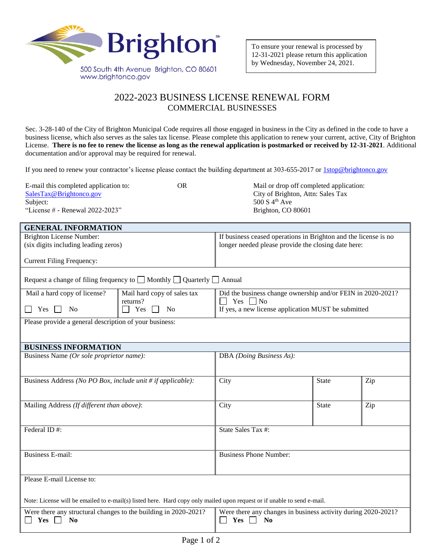

**GENERAL INFORMATION**

## 2022-2023 BUSINESS LICENSE RENEWAL FORM COMMERCIAL BUSINESSES

Sec. 3-28-140 of the City of Brighton Municipal Code requires all those engaged in business in the City as defined in the code to have a business license, which also serves as the sales tax license. Please complete this application to renew your current, active, City of Brighton License. **There is no fee to renew the license as long as the renewal application is postmarked or received by 12-31-2021**. Additional documentation and/or approval may be required for renewal.

If you need to renew your contractor's license please contact the building department at 303-655-2017 or [1stop@brightonco.gov](mailto:1stop@brightonco.gov)

| E-mail this completed application to:<br>SalesTax@Brightonco.gov | OR | Mail or drop off completed application:<br>City of Brighton, Attn: Sales Tax |
|------------------------------------------------------------------|----|------------------------------------------------------------------------------|
| Subject:                                                         |    | 500 S $4^{th}$ Ave                                                           |
| "License $#$ - Renewal 2022-2023"                                |    | Brighton, CO 80601                                                           |
|                                                                  |    |                                                                              |

| - <del>1918 H (1</del> Ora, 1111101)<br><b>Brighton License Number:</b><br>(six digits including leading zeros)         |                                                                                       | If business ceased operations in Brighton and the license is no<br>longer needed please provide the closing date here: |                          |     |  |
|-------------------------------------------------------------------------------------------------------------------------|---------------------------------------------------------------------------------------|------------------------------------------------------------------------------------------------------------------------|--------------------------|-----|--|
| <b>Current Filing Frequency:</b>                                                                                        |                                                                                       |                                                                                                                        |                          |     |  |
|                                                                                                                         | Request a change of filing frequency to $\Box$ Monthly $\Box$ Quarterly $\Box$ Annual |                                                                                                                        |                          |     |  |
| Mail a hard copy of license?                                                                                            | Mail hard copy of sales tax<br>returns?                                               | Did the business change ownership and/or FEIN in 2020-2021?<br>$\Box$ Yes $\Box$ No                                    |                          |     |  |
| Yes<br>No                                                                                                               | Yes<br><b>No</b>                                                                      | If yes, a new license application MUST be submitted                                                                    |                          |     |  |
| Please provide a general description of your business:                                                                  |                                                                                       |                                                                                                                        |                          |     |  |
|                                                                                                                         |                                                                                       |                                                                                                                        |                          |     |  |
| <b>BUSINESS INFORMATION</b>                                                                                             |                                                                                       |                                                                                                                        |                          |     |  |
|                                                                                                                         | Business Name (Or sole proprietor name):                                              |                                                                                                                        | DBA (Doing Business As): |     |  |
| Business Address (No PO Box, include unit # if applicable):                                                             |                                                                                       | City                                                                                                                   | <b>State</b>             | Zip |  |
| Mailing Address (If different than above):                                                                              |                                                                                       | City                                                                                                                   | State                    | Zip |  |
| Federal ID#:                                                                                                            |                                                                                       | State Sales Tax #:                                                                                                     |                          |     |  |
| <b>Business E-mail:</b>                                                                                                 |                                                                                       | <b>Business Phone Number:</b>                                                                                          |                          |     |  |
| Please E-mail License to:                                                                                               |                                                                                       |                                                                                                                        |                          |     |  |
| Note: License will be emailed to e-mail(s) listed here. Hard copy only mailed upon request or if unable to send e-mail. |                                                                                       |                                                                                                                        |                          |     |  |
| Were there any structural changes to the building in 2020-2021?<br><b>Yes</b><br>N <sub>0</sub>                         |                                                                                       | Were there any changes in business activity during 2020-2021?<br>Yes<br>N <sub>0</sub>                                 |                          |     |  |